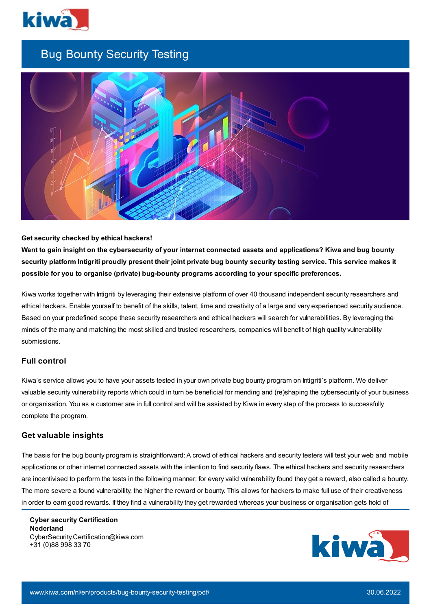

# Bug Bounty Security Testing



## **Get security checked by ethical hackers!**

Want to gain insight on the cybersecurity of your internet connected assets and applications? Kiwa and bug bounty security platform Intigriti proudly present their joint private bug bounty security testing service. This service makes it **possible for you to organise (private) bug-bounty programs according to your specific preferences.**

Kiwa works together with Intigriti by leveraging their extensive platform of over 40 thousand independent security researchers and ethical hackers. Enable yourself to benefit of the skills, talent, time and creativity of a large and very experienced security audience. Based on your predefined scope these security researchers and ethical hackers will search for vulnerabilities. By leveraging the minds of the many and matching the most skilled and trusted researchers, companies will benefit of high quality vulnerability submissions.

# **Full control**

Kiwa's service allows you to have your assets tested in your own private bug bounty program on Intigriti's platform. We deliver valuable security vulnerability reports which could in turn be beneficial for mending and (re)shaping the cybersecurity of your business or organisation. You as a customer are in full control and will be assisted by Kiwa in every step of the process to successfully complete the program.

## **Get valuable insights**

The basis for the bug bounty program is straightforward: A crowd of ethical hackers and security testers will test your web and mobile applications or other internet connected assets with the intention to find security flaws. The ethical hackers and security researchers are incentivised to perform the tests in the following manner: for every valid vulnerability found they get a reward, also called a bounty. The more severe a found vulnerability, the higher the reward or bounty. This allows for hackers to make full use of their creativeness in order to earn good rewards. If they find a vulnerability they get rewarded whereas your business or organisation gets hold of

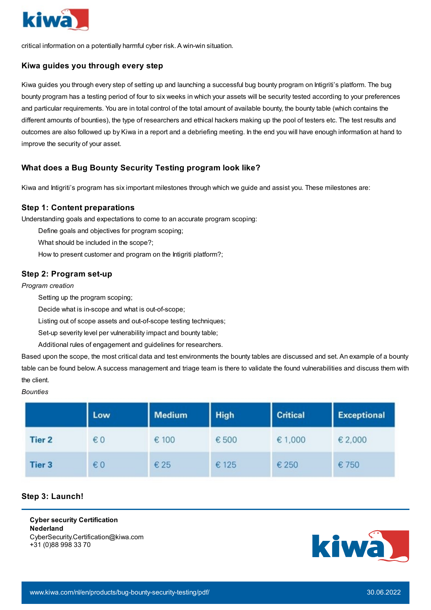

critical information on a potentially harmful cyber risk. A win-win situation.

# **Kiwa guides you through every step**

Kiwa guides you through every step of setting up and launching a successful bug bounty program on Intigriti's platform. The bug bounty program has a testing period of four to six weeks in which your assets will be security tested according to your preferences and particular requirements. You are in total control of the total amount of available bounty, the bounty table (which contains the different amounts of bounties), the type of researchers and ethical hackers making up the pool of testers etc. The test results and outcomes are also followed up by Kiwa in a report and a debriefing meeting. In the end you will have enough information at hand to improve the security of your asset.

# **What does a Bug Bounty Security Testing program look like?**

Kiwa and Intigriti's program has six important milestones through which we guide and assist you. These milestones are:

# **Step 1: Content preparations**

Understanding goals and expectations to come to an accurate program scoping:

Define goals and objectives for program scoping;

What should be included in the scope?;

How to present customer and program on the Intigriti platform?;

# **Step 2: Program set-up**

*Program creation*

Setting up the program scoping;

Decide what is in-scope and what is out-of-scope;

Listing out of scope assets and out-of-scope testing techniques;

Set-up severity level per vulnerability impact and bounty table;

Additional rules of engagement and guidelines for researchers.

Based upon the scope, the most critical data and test environments the bounty tables are discussed and set. An example of a bounty table can be found below. A success management and triage team is there to validate the found vulnerabilities and discuss them with the client.

#### *Bounties*

|               | Low          | <b>Medium</b> | <b>High</b> | <b>Critical</b> | <b>Exceptional</b> |
|---------------|--------------|---------------|-------------|-----------------|--------------------|
| <b>Tier 2</b> | $\epsilon$ 0 | €100          | € 500       | €1,000          | €2,000             |
| Tier 3        | $\epsilon$ 0 | € 25          | € 125       | € 250           | € 750              |

# **Step 3: Launch!**

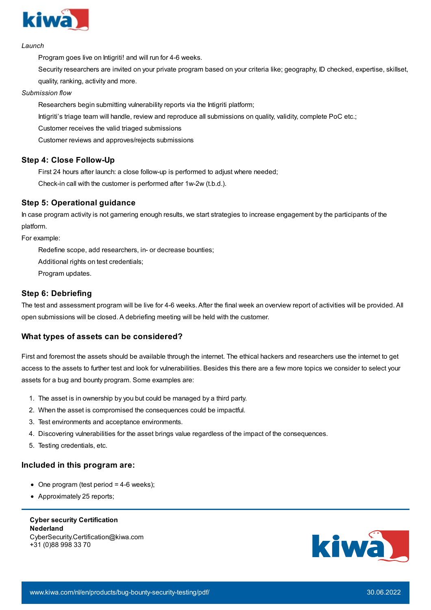

#### *Launch*

Program goes live on Intigriti! and will run for 4-6 weeks.

Security researchers are invited on your private program based on your criteria like; geography, ID checked, expertise, skillset, quality, ranking, activity and more.

#### *Submission flow*

Researchers begin submitting vulnerability reports via the Intigriti platform;

Intigriti's triage team will handle, review and reproduce all submissions on quality, validity, complete PoC etc.;

Customer receives the valid triaged submissions

Customer reviews and approves/rejects submissions

# **Step 4: Close Follow-Up**

First 24 hours after launch: a close follow-up is performed to adjust where needed;

Check-in call with the customer is performed after 1w-2w (t.b.d.).

# **Step 5: Operational guidance**

In case program activity is not garnering enough results, we start strategies to increase engagement by the participants of the platform.

For example:

Redefine scope, add researchers, in- or decrease bounties;

Additional rights on test credentials;

Program updates.

## **Step 6: Debriefing**

The test and assessment program will be live for 4-6 weeks. After the final week an overview report of activities will be provided. All open submissions will be closed. A debriefing meeting will be held with the customer.

## **What types of assets can be considered?**

First and foremost the assets should be available through the internet. The ethical hackers and researchers use the internet to get access to the assets to further test and look for vulnerabilities. Besides this there are a few more topics we consider to select your assets for a bug and bounty program. Some examples are:

- 1. The asset is in ownership by you but could be managed by a third party.
- 2. When the asset is compromised the consequences could be impactful.
- 3. Test environments and acceptance environments.
- 4. Discovering vulnerabilities for the asset brings value regardless of the impact of the consequences.
- 5. Testing credentials, etc.

## **Included in this program are:**

- $\bullet$  One program (test period = 4-6 weeks);
- Approximately 25 reports: